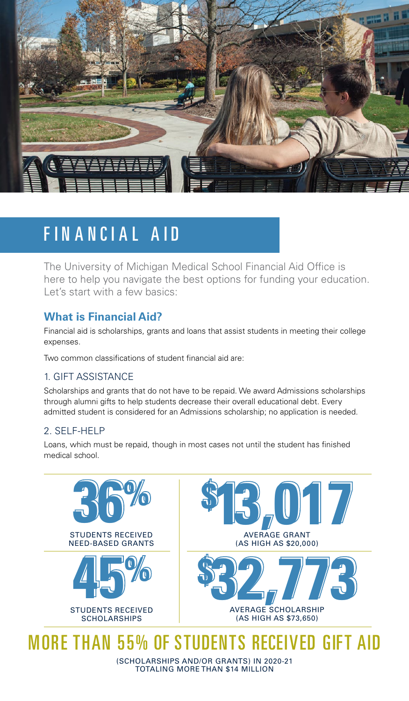

## FINANCIAL AID

The University of Michigan Medical School Financial Aid Office is here to help you navigate the best options for funding your education. Let's start with a few basics:

### **What is Financial Aid?**

Financial aid is scholarships, grants and loans that assist students in meeting their college expenses.

Two common classifications of student financial aid are:

#### 1. GIFT ASSISTANCE

Scholarships and grants that do not have to be repaid. We award Admissions scholarships through alumni gifts to help students decrease their overall educational debt. Every admitted student is considered for an Admissions scholarship; no application is needed.

#### 2. SELF-HELP

Loans, which must be repaid, though in most cases not until the student has finished medical school.



# MORE THAN 55% OF STUDENTS RECEIVED GIFT AID

(SCHOLARSHIPS AND/OR GRANTS) IN 2020-21 TOTALING MORE THAN \$14 MILLION